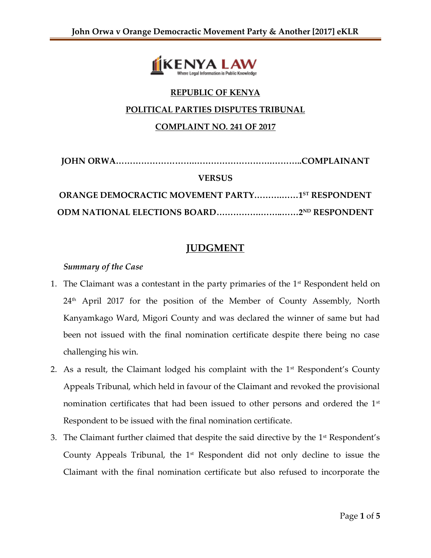

# **REPUBLIC OF KENYA**

### **POLITICAL PARTIES DISPUTES TRIBUNAL**

# **COMPLAINT NO. 241 OF 2017**

| <b>VERSUS</b>                                     |  |
|---------------------------------------------------|--|
| ORANGE DEMOCRACTIC MOVEMENT PARTY1ST RESPONDENT   |  |
| <b>ODM NATIONAL ELECTIONS BOARD2ND RESPONDENT</b> |  |

# **JUDGMENT**

## *Summary of the Case*

- 1. The Claimant was a contestant in the party primaries of the  $1<sup>st</sup>$  Respondent held on  $24<sup>th</sup>$  April 2017 for the position of the Member of County Assembly, North Kanyamkago Ward, Migori County and was declared the winner of same but had been not issued with the final nomination certificate despite there being no case challenging his win.
- 2. As a result, the Claimant lodged his complaint with the  $1<sup>st</sup>$  Respondent's County Appeals Tribunal, which held in favour of the Claimant and revoked the provisional nomination certificates that had been issued to other persons and ordered the 1<sup>st</sup> Respondent to be issued with the final nomination certificate.
- 3. The Claimant further claimed that despite the said directive by the 1<sup>st</sup> Respondent's County Appeals Tribunal, the  $1<sup>st</sup>$  Respondent did not only decline to issue the Claimant with the final nomination certificate but also refused to incorporate the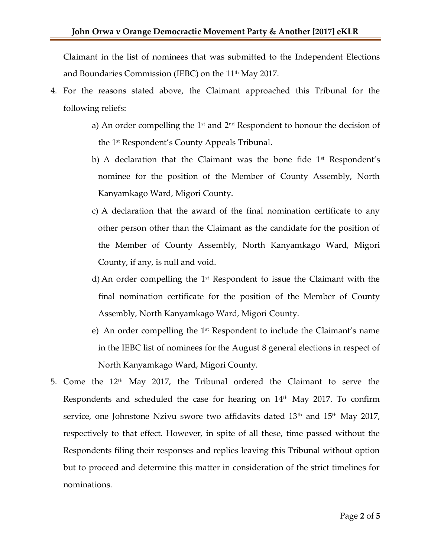Claimant in the list of nominees that was submitted to the Independent Elections and Boundaries Commission (IEBC) on the  $11<sup>th</sup>$  May 2017.

- 4. For the reasons stated above, the Claimant approached this Tribunal for the following reliefs:
	- a) An order compelling the  $1<sup>st</sup>$  and  $2<sup>nd</sup>$  Respondent to honour the decision of the 1 st Respondent's County Appeals Tribunal.
	- b) A declaration that the Claimant was the bone fide  $1<sup>st</sup>$  Respondent's nominee for the position of the Member of County Assembly, North Kanyamkago Ward, Migori County.
	- c) A declaration that the award of the final nomination certificate to any other person other than the Claimant as the candidate for the position of the Member of County Assembly, North Kanyamkago Ward, Migori County, if any, is null and void.
	- d) An order compelling the  $1<sup>st</sup>$  Respondent to issue the Claimant with the final nomination certificate for the position of the Member of County Assembly, North Kanyamkago Ward, Migori County.
	- e) An order compelling the  $1<sup>st</sup>$  Respondent to include the Claimant's name in the IEBC list of nominees for the August 8 general elections in respect of North Kanyamkago Ward, Migori County.
- 5. Come the  $12<sup>th</sup>$  May 2017, the Tribunal ordered the Claimant to serve the Respondents and scheduled the case for hearing on  $14<sup>th</sup>$  May 2017. To confirm service, one Johnstone Nzivu swore two affidavits dated 13<sup>th</sup> and 15<sup>th</sup> May 2017, respectively to that effect. However, in spite of all these, time passed without the Respondents filing their responses and replies leaving this Tribunal without option but to proceed and determine this matter in consideration of the strict timelines for nominations.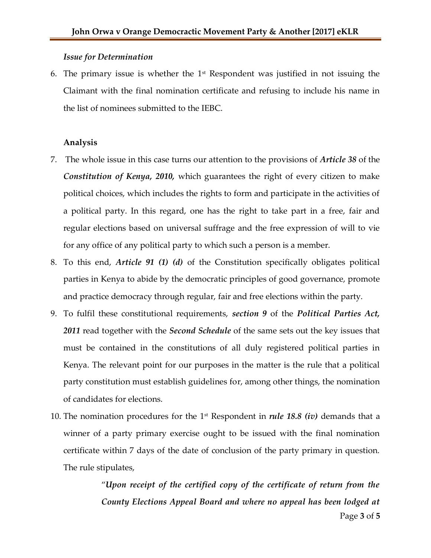#### *Issue for Determination*

6. The primary issue is whether the  $1<sup>st</sup>$  Respondent was justified in not issuing the Claimant with the final nomination certificate and refusing to include his name in the list of nominees submitted to the IEBC.

#### **Analysis**

- 7. The whole issue in this case turns our attention to the provisions of *Article 38* of the *Constitution of Kenya, 2010,* which guarantees the right of every citizen to make political choices, which includes the rights to form and participate in the activities of a political party. In this regard, one has the right to take part in a free, fair and regular elections based on universal suffrage and the free expression of will to vie for any office of any political party to which such a person is a member.
- 8. To this end, *Article 91 (1) (d)* of the Constitution specifically obligates political parties in Kenya to abide by the democratic principles of good governance, promote and practice democracy through regular, fair and free elections within the party.
- 9. To fulfil these constitutional requirements, *section 9* of the *Political Parties Act, 2011* read together with the *Second Schedule* of the same sets out the key issues that must be contained in the constitutions of all duly registered political parties in Kenya. The relevant point for our purposes in the matter is the rule that a political party constitution must establish guidelines for, among other things, the nomination of candidates for elections.
- 10. The nomination procedures for the 1st Respondent in *rule 18.8 (iv)* demands that a winner of a party primary exercise ought to be issued with the final nomination certificate within 7 days of the date of conclusion of the party primary in question. The rule stipulates,

"*Upon receipt of the certified copy of the certificate of return from the County Elections Appeal Board and where no appeal has been lodged at*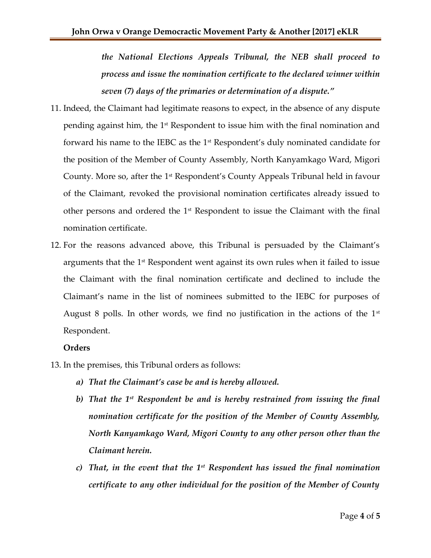*the National Elections Appeals Tribunal, the NEB shall proceed to process and issue the nomination certificate to the declared winner within seven (7) days of the primaries or determination of a dispute."*

- 11. Indeed, the Claimant had legitimate reasons to expect, in the absence of any dispute pending against him, the 1<sup>st</sup> Respondent to issue him with the final nomination and forward his name to the IEBC as the 1<sup>st</sup> Respondent's duly nominated candidate for the position of the Member of County Assembly, North Kanyamkago Ward, Migori County. More so, after the 1<sup>st</sup> Respondent's County Appeals Tribunal held in favour of the Claimant, revoked the provisional nomination certificates already issued to other persons and ordered the  $1<sup>st</sup>$  Respondent to issue the Claimant with the final nomination certificate.
- 12. For the reasons advanced above, this Tribunal is persuaded by the Claimant's arguments that the  $1<sup>st</sup>$  Respondent went against its own rules when it failed to issue the Claimant with the final nomination certificate and declined to include the Claimant's name in the list of nominees submitted to the IEBC for purposes of August 8 polls. In other words, we find no justification in the actions of the  $1<sup>st</sup>$ Respondent.

#### **Orders**

- 13. In the premises, this Tribunal orders as follows:
	- *a) That the Claimant's case be and is hereby allowed.*
	- *b) That the 1st Respondent be and is hereby restrained from issuing the final nomination certificate for the position of the Member of County Assembly, North Kanyamkago Ward, Migori County to any other person other than the Claimant herein.*
	- *c) That, in the event that the 1st Respondent has issued the final nomination certificate to any other individual for the position of the Member of County*